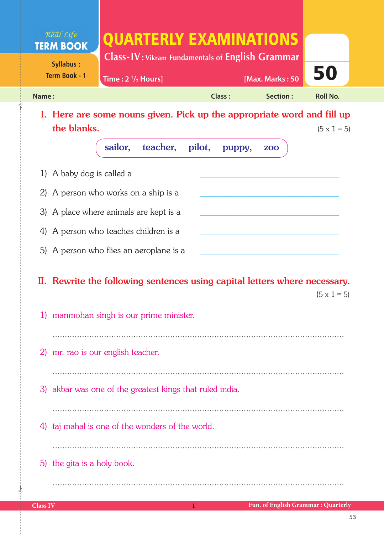| Real Life<br><b>TERM BOOK</b>            | QUARTERLY EXAMINATIONS<br><b>Class-IV:</b> Vikram Fundamentals of <b>English Grammar</b>                               |                  |                 |                    |
|------------------------------------------|------------------------------------------------------------------------------------------------------------------------|------------------|-----------------|--------------------|
| <b>Syllabus:</b><br><b>Term Book - 1</b> | Time: $2 \frac{1}{2}$ Hours]                                                                                           |                  | [Max. Marks: 50 | 50                 |
| Name:                                    |                                                                                                                        | <b>Class:</b>    | Section:        | <b>Roll No.</b>    |
| the blanks.                              | I. Here are some nouns given. Pick up the appropriate word and fill up                                                 |                  |                 | $(5 \times 1 = 5)$ |
|                                          | sailor,<br>teacher,                                                                                                    | pilot,<br>puppy, | <b>ZOO</b>      |                    |
| 1) A baby dog is called a                |                                                                                                                        |                  |                 |                    |
|                                          | 2) A person who works on a ship is a                                                                                   |                  |                 |                    |
|                                          | 3) A place where animals are kept is a                                                                                 |                  |                 |                    |
|                                          | 4) A person who teaches children is a                                                                                  |                  |                 |                    |
|                                          | 5) A person who flies an aeroplane is a                                                                                |                  |                 |                    |
|                                          | II. Rewrite the following sentences using capital letters where necessary.<br>1) manmohan singh is our prime minister. |                  |                 | $(5 \times 1 = 5)$ |
|                                          |                                                                                                                        |                  |                 |                    |
|                                          | 2) mr. rao is our english teacher.                                                                                     |                  |                 |                    |
|                                          | 3) akbar was one of the greatest kings that ruled india.                                                               |                  |                 |                    |
| 4)                                       | taj mahal is one of the wonders of the world.                                                                          |                  |                 |                    |
| 5) the gita is a holy book.              |                                                                                                                        |                  |                 |                    |

 $\frac{1}{2}$ 

✁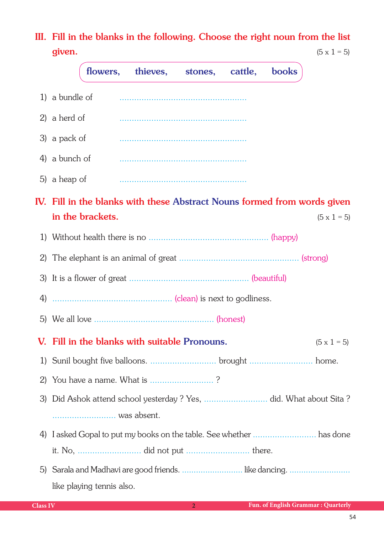III. Fill in the blanks in the following. Choose the right noun from the list **given.** (5 x 1 = 5)

|    | thieves, stones,<br>cattle,<br><b>books</b><br>flowers,                  |
|----|--------------------------------------------------------------------------|
|    | 1) a bundle of                                                           |
|    | 2) a herd of                                                             |
|    | 3) a pack of                                                             |
|    | 4) a bunch of                                                            |
|    | 5) a heap of                                                             |
|    | IV. Fill in the blanks with these Abstract Nouns formed from words given |
|    | in the brackets.<br>$(5 \times 1 = 5)$                                   |
| 1) |                                                                          |
|    |                                                                          |
|    |                                                                          |
|    |                                                                          |
|    |                                                                          |
|    | V. Fill in the blanks with suitable Pronouns.<br>$(5 \times 1 = 5)$      |
|    |                                                                          |
| 2) | You have a name. What is ?                                               |
|    |                                                                          |
|    |                                                                          |
|    |                                                                          |
|    |                                                                          |
| 5) | Sarala and Madhavi are good friends.  like dancing.                      |
|    | like playing tennis also.                                                |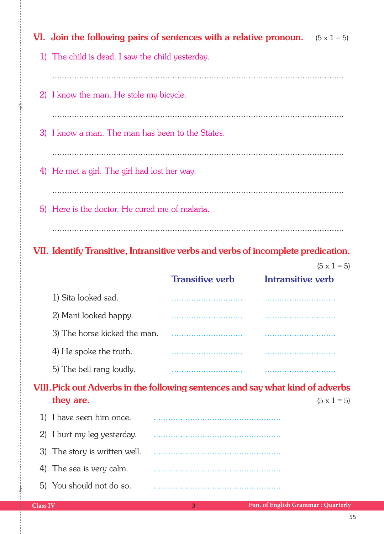|    |                                                  | VI. Join the following pairs of sentences with a relative pronoun. $(5 \times 1 = 5)$ |                   |                    |
|----|--------------------------------------------------|---------------------------------------------------------------------------------------|-------------------|--------------------|
|    | 1) The child is dead. I saw the child yesterday. |                                                                                       |                   |                    |
|    |                                                  |                                                                                       |                   |                    |
|    | 2) I know the man. He stole my bicycle.          |                                                                                       |                   |                    |
|    |                                                  |                                                                                       |                   |                    |
|    | 3) I know a man. The man has been to the States. |                                                                                       |                   |                    |
|    |                                                  |                                                                                       |                   |                    |
|    | 4) He met a girl. The girl had lost her way.     |                                                                                       |                   |                    |
|    |                                                  |                                                                                       |                   |                    |
|    | 5) Here is the doctor. He cured me of malaria.   |                                                                                       |                   |                    |
|    |                                                  |                                                                                       |                   |                    |
|    |                                                  | VII. Identify Transitive, Intransitive verbs and verbs of incomplete predication.     |                   |                    |
|    |                                                  |                                                                                       |                   |                    |
|    |                                                  |                                                                                       |                   | $(5 \times 1 = 5)$ |
|    |                                                  | <b>Transitive verb</b>                                                                | Intransitive verb |                    |
|    | 1) Sita looked sad.                              |                                                                                       |                   |                    |
|    | 2) Mani looked happy.                            |                                                                                       |                   |                    |
|    | 3) The horse kicked the man.                     |                                                                                       |                   |                    |
|    | 4) He spoke the truth.                           |                                                                                       |                   |                    |
|    | 5) The bell rang loudly.                         |                                                                                       |                   |                    |
|    |                                                  | VIII. Pick out Adverbs in the following sentences and say what kind of adverbs        |                   |                    |
|    | they are.                                        |                                                                                       |                   | $(5 \times 1 = 5)$ |
| 1) | I have seen him once.                            |                                                                                       |                   |                    |
| 2) | I hurt my leg yesterday.                         |                                                                                       |                   |                    |
| 3) | The story is written well.                       |                                                                                       |                   |                    |

5) You should not do so.

 $\frac{1}{2}$ 

✁